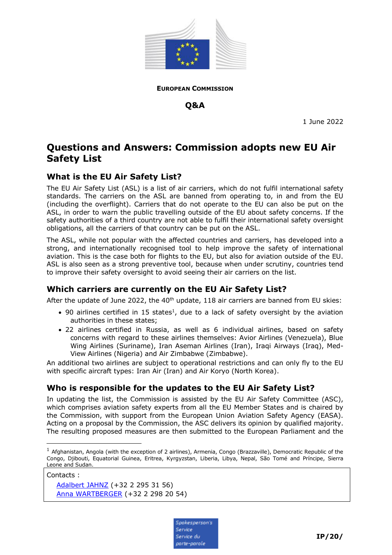

**EUROPEAN COMMISSION**

**Q&A**

1 June 2022

# **Questions and Answers: Commission adopts new EU Air Safety List**

## **What is the EU Air Safety List?**

The EU Air Safety List (ASL) is a list of air carriers, which do not fulfil international safety standards. The carriers on the ASL are banned from operating to, in and from the EU (including the overflight). Carriers that do not operate to the EU can also be put on the ASL, in order to warn the public travelling outside of the EU about safety concerns. If the safety authorities of a third country are not able to fulfil their international safety oversight obligations, all the carriers of that country can be put on the ASL.

The ASL, while not popular with the affected countries and carriers, has developed into a strong, and internationally recognised tool to help improve the safety of international aviation. This is the case both for flights to the EU, but also for aviation outside of the EU. ASL is also seen as a strong preventive tool, because when under scrutiny, countries tend to improve their safety oversight to avoid seeing their air carriers on the list.

## **Which carriers are currently on the EU Air Safety List?**

After the update of June 2022, the  $40<sup>th</sup>$  update, 118 air carriers are banned from EU skies:

- 90 airlines certified in 15 states<sup>1</sup>, due to a lack of safety oversight by the aviation authorities in these states;
- 22 airlines certified in Russia, as well as 6 individual airlines, based on safety concerns with regard to these airlines themselves: Avior Airlines (Venezuela), Blue Wing Airlines (Suriname), Iran Aseman Airlines (Iran), Iraqi Airways (Iraq), Med-View Airlines (Nigeria) and Air Zimbabwe (Zimbabwe).

An additional two airlines are subject to operational restrictions and can only fly to the EU with specific aircraft types: Iran Air (Iran) and Air Koryo (North Korea).

# **Who is responsible for the updates to the EU Air Safety List?**

In updating the list, the Commission is assisted by the EU Air Safety Committee (ASC), which comprises aviation safety experts from all the EU Member States and is chaired by the Commission, with support from the European Union Aviation Safety Agency (EASA). Acting on a proposal by the Commission, the ASC delivers its opinion by qualified majority. The resulting proposed measures are then submitted to the European Parliament and the

Contacts :

-

[Adalbert JAHNZ](mailto:Adalbert.JAHNZ@ec.europa.eu) (+32 2 295 31 56) Anna WARTBERGER (+32 2 298 20 54)



 $1$  Afghanistan, Angola (with the exception of 2 airlines), Armenia, Congo (Brazzaville), Democratic Republic of the Congo, Djibouti, Equatorial Guinea, Eritrea, Kyrgyzstan, Liberia, Libya, Nepal, São Tomé and Príncipe, Sierra Leone and Sudan.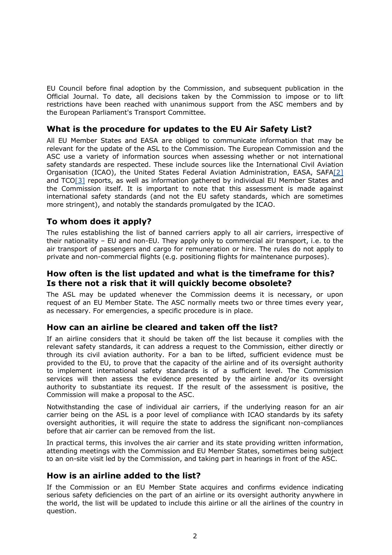EU Council before final adoption by the Commission, and subsequent publication in the Official Journal. To date, all decisions taken by the Commission to impose or to lift restrictions have been reached with unanimous support from the ASC members and by the European Parliament's Transport Committee.

## **What is the procedure for updates to the EU Air Safety List?**

All EU Member States and EASA are obliged to communicate information that may be relevant for the update of the ASL to the Commission. The European Commission and the ASC use a variety of information sources when assessing whether or not international safety standards are respected. These include sources like the International Civil Aviation Organisation (ICAO), the United States Federal Aviation Administration, EASA, SAF[A\[2\]](https://www.easa.europa.eu/domains/air-operations/ramp-inspection-programmes-safa-saca) and  $TCO[3]$  $TCO[3]$  reports, as well as information gathered by individual EU Member States and the Commission itself. It is important to note that this assessment is made against international safety standards (and not the EU safety standards, which are sometimes more stringent), and notably the standards promulgated by the ICAO.

## **To whom does it apply?**

The rules establishing the list of banned carriers apply to all air carriers, irrespective of their nationality – EU and non-EU. They apply only to commercial air transport, i.e. to the air transport of passengers and cargo for remuneration or hire. The rules do not apply to private and non-commercial flights (e.g. positioning flights for maintenance purposes).

#### **How often is the list updated and what is the timeframe for this? Is there not a risk that it will quickly become obsolete?**

The ASL may be updated whenever the Commission deems it is necessary, or upon request of an EU Member State. The ASC normally meets two or three times every year, as necessary. For emergencies, a specific procedure is in place.

## **How can an airline be cleared and taken off the list?**

If an airline considers that it should be taken off the list because it complies with the relevant safety standards, it can address a request to the Commission, either directly or through its civil aviation authority. For a ban to be lifted, sufficient evidence must be provided to the EU, to prove that the capacity of the airline and of its oversight authority to implement international safety standards is of a sufficient level. The Commission services will then assess the evidence presented by the airline and/or its oversight authority to substantiate its request. If the result of the assessment is positive, the Commission will make a proposal to the ASC.

Notwithstanding the case of individual air carriers, if the underlying reason for an air carrier being on the ASL is a poor level of compliance with ICAO standards by its safety oversight authorities, it will require the state to address the significant non-compliances before that air carrier can be removed from the list.

In practical terms, this involves the air carrier and its state providing written information, attending meetings with the Commission and EU Member States, sometimes being subject to an on-site visit led by the Commission, and taking part in hearings in front of the ASC.

#### **How is an airline added to the list?**

If the Commission or an EU Member State acquires and confirms evidence indicating serious safety deficiencies on the part of an airline or its oversight authority anywhere in the world, the list will be updated to include this airline or all the airlines of the country in question.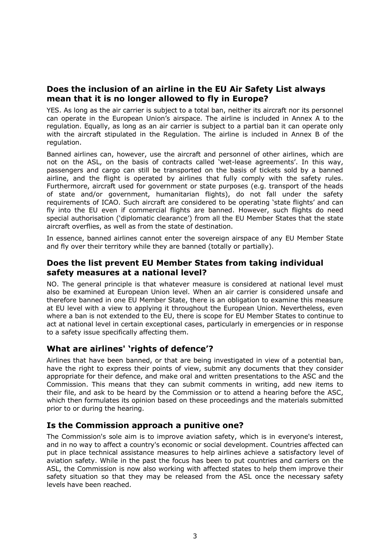#### **Does the inclusion of an airline in the EU Air Safety List always mean that it is no longer allowed to fly in Europe?**

YES. As long as the air carrier is subject to a total ban, neither its aircraft nor its personnel can operate in the European Union's airspace. The airline is included in Annex A to the regulation. Equally, as long as an air carrier is subject to a partial ban it can operate only with the aircraft stipulated in the Regulation. The airline is included in Annex B of the regulation.

Banned airlines can, however, use the aircraft and personnel of other airlines, which are not on the ASL, on the basis of contracts called 'wet-lease agreements'. In this way, passengers and cargo can still be transported on the basis of tickets sold by a banned airline, and the flight is operated by airlines that fully comply with the safety rules. Furthermore, aircraft used for government or state purposes (e.g. transport of the heads of state and/or government, humanitarian flights), do not fall under the safety requirements of ICAO. Such aircraft are considered to be operating 'state flights' and can fly into the EU even if commercial flights are banned. However, such flights do need special authorisation ('diplomatic clearance') from all the EU Member States that the state aircraft overflies, as well as from the state of destination.

In essence, banned airlines cannot enter the sovereign airspace of any EU Member State and fly over their territory while they are banned (totally or partially).

#### **Does the list prevent EU Member States from taking individual safety measures at a national level?**

NO. The general principle is that whatever measure is considered at national level must also be examined at European Union level. When an air carrier is considered unsafe and therefore banned in one EU Member State, there is an obligation to examine this measure at EU level with a view to applying it throughout the European Union. Nevertheless, even where a ban is not extended to the EU, there is scope for EU Member States to continue to act at national level in certain exceptional cases, particularly in emergencies or in response to a safety issue specifically affecting them.

## **What are airlines' 'rights of defence'?**

Airlines that have been banned, or that are being investigated in view of a potential ban, have the right to express their points of view, submit any documents that they consider appropriate for their defence, and make oral and written presentations to the ASC and the Commission. This means that they can submit comments in writing, add new items to their file, and ask to be heard by the Commission or to attend a hearing before the ASC, which then formulates its opinion based on these proceedings and the materials submitted prior to or during the hearing.

#### **Is the Commission approach a punitive one?**

The Commission's sole aim is to improve aviation safety, which is in everyone's interest, and in no way to affect a country's economic or social development. Countries affected can put in place technical assistance measures to help airlines achieve a satisfactory level of aviation safety. While in the past the focus has been to put countries and carriers on the ASL, the Commission is now also working with affected states to help them improve their safety situation so that they may be released from the ASL once the necessary safety levels have been reached.